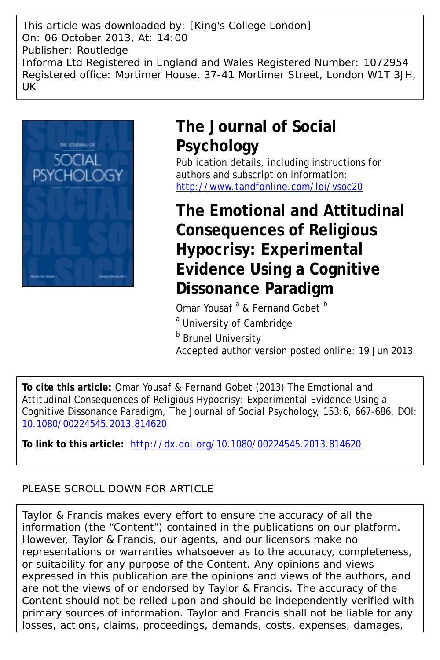This article was downloaded by: [King's College London] On: 06 October 2013, At: 14:00 Publisher: Routledge Informa Ltd Registered in England and Wales Registered Number: 1072954 Registered office: Mortimer House, 37-41 Mortimer Street, London W1T 3JH, UK



# **The Journal of Social Psychology**

Publication details, including instructions for authors and subscription information: <http://www.tandfonline.com/loi/vsoc20>

# **The Emotional and Attitudinal Consequences of Religious Hypocrisy: Experimental Evidence Using a Cognitive Dissonance Paradigm**

Omar Yousaf<sup>a</sup> & Fernand Gobet<sup>b</sup>

<sup>a</sup> University of Cambridge

b Brunel University

Accepted author version posted online: 19 Jun 2013.

**To cite this article:** Omar Yousaf & Fernand Gobet (2013) The Emotional and Attitudinal Consequences of Religious Hypocrisy: Experimental Evidence Using a Cognitive Dissonance Paradigm, The Journal of Social Psychology, 153:6, 667-686, DOI: [10.1080/00224545.2013.814620](http://www.tandfonline.com/action/showCitFormats?doi=10.1080/00224545.2013.814620)

**To link to this article:** <http://dx.doi.org/10.1080/00224545.2013.814620>

# PLEASE SCROLL DOWN FOR ARTICLE

Taylor & Francis makes every effort to ensure the accuracy of all the information (the "Content") contained in the publications on our platform. However, Taylor & Francis, our agents, and our licensors make no representations or warranties whatsoever as to the accuracy, completeness, or suitability for any purpose of the Content. Any opinions and views expressed in this publication are the opinions and views of the authors, and are not the views of or endorsed by Taylor & Francis. The accuracy of the Content should not be relied upon and should be independently verified with primary sources of information. Taylor and Francis shall not be liable for any losses, actions, claims, proceedings, demands, costs, expenses, damages,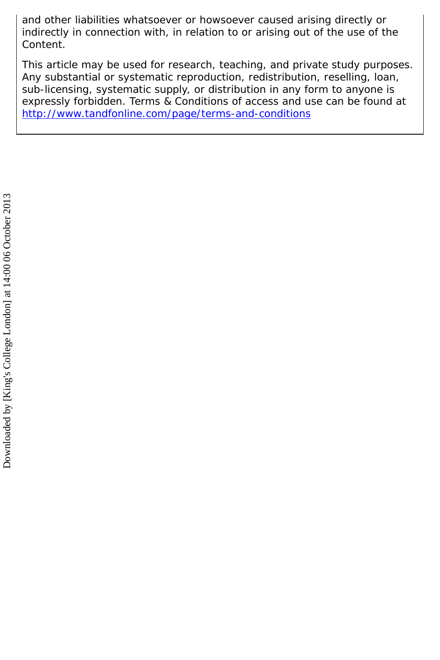and other liabilities whatsoever or howsoever caused arising directly or indirectly in connection with, in relation to or arising out of the use of the Content.

This article may be used for research, teaching, and private study purposes. Any substantial or systematic reproduction, redistribution, reselling, loan, sub-licensing, systematic supply, or distribution in any form to anyone is expressly forbidden. Terms & Conditions of access and use can be found at <http://www.tandfonline.com/page/terms-and-conditions>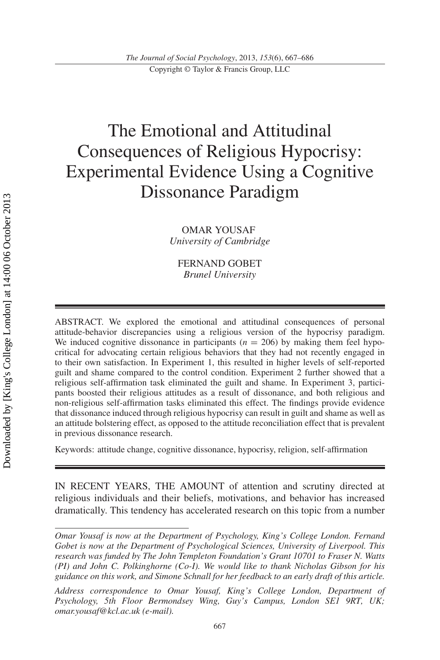Copyright © Taylor & Francis Group, LLC

# The Emotional and Attitudinal Consequences of Religious Hypocrisy: Experimental Evidence Using a Cognitive Dissonance Paradigm

OMAR YOUSAF *University of Cambridge*

FERNAND GOBET *Brunel University*

ABSTRACT. We explored the emotional and attitudinal consequences of personal attitude-behavior discrepancies using a religious version of the hypocrisy paradigm. We induced cognitive dissonance in participants  $(n = 206)$  by making them feel hypocritical for advocating certain religious behaviors that they had not recently engaged in to their own satisfaction. In Experiment 1, this resulted in higher levels of self-reported guilt and shame compared to the control condition. Experiment 2 further showed that a religious self-affirmation task eliminated the guilt and shame. In Experiment 3, participants boosted their religious attitudes as a result of dissonance, and both religious and non-religious self-affirmation tasks eliminated this effect. The findings provide evidence that dissonance induced through religious hypocrisy can result in guilt and shame as well as an attitude bolstering effect, as opposed to the attitude reconciliation effect that is prevalent in previous dissonance research.

Keywords: attitude change, cognitive dissonance, hypocrisy, religion, self-affirmation

IN RECENT YEARS, THE AMOUNT of attention and scrutiny directed at religious individuals and their beliefs, motivations, and behavior has increased dramatically. This tendency has accelerated research on this topic from a number

*Omar Yousaf is now at the Department of Psychology, King's College London. Fernand Gobet is now at the Department of Psychological Sciences, University of Liverpool. This research was funded by The John Templeton Foundation's Grant 10701 to Fraser N. Watts (PI) and John C. Polkinghorne (Co-I). We would like to thank Nicholas Gibson for his guidance on this work, and Simone Schnall for her feedback to an early draft of this article.*

*Address correspondence to Omar Yousaf, King's College London, Department of Psychology, 5th Floor Bermondsey Wing, Guy's Campus, London SE1 9RT, UK; omar.yousaf@kcl.ac.uk (e-mail).*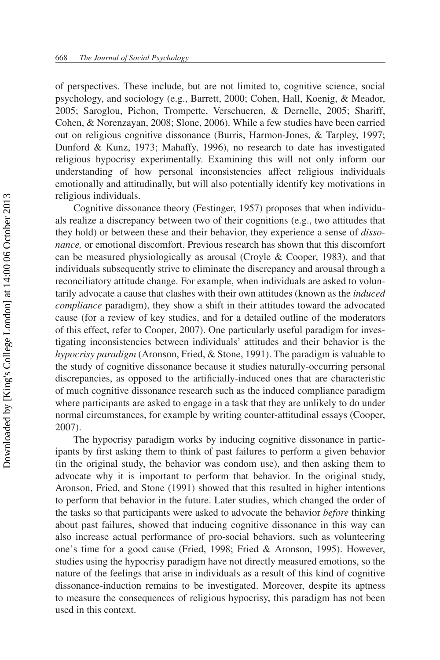of perspectives. These include, but are not limited to, cognitive science, social psychology, and sociology (e.g., Barrett, 2000; Cohen, Hall, Koenig, & Meador, 2005; Saroglou, Pichon, Trompette, Verschueren, & Dernelle, 2005; Shariff, Cohen, & Norenzayan, 2008; Slone, 2006). While a few studies have been carried out on religious cognitive dissonance (Burris, Harmon-Jones, & Tarpley, 1997; Dunford & Kunz, 1973; Mahaffy, 1996), no research to date has investigated religious hypocrisy experimentally. Examining this will not only inform our understanding of how personal inconsistencies affect religious individuals emotionally and attitudinally, but will also potentially identify key motivations in religious individuals.

Cognitive dissonance theory (Festinger, 1957) proposes that when individuals realize a discrepancy between two of their cognitions (e.g., two attitudes that they hold) or between these and their behavior, they experience a sense of *dissonance,* or emotional discomfort. Previous research has shown that this discomfort can be measured physiologically as arousal (Croyle & Cooper, 1983), and that individuals subsequently strive to eliminate the discrepancy and arousal through a reconciliatory attitude change. For example, when individuals are asked to voluntarily advocate a cause that clashes with their own attitudes (known as the *induced compliance* paradigm), they show a shift in their attitudes toward the advocated cause (for a review of key studies, and for a detailed outline of the moderators of this effect, refer to Cooper, 2007). One particularly useful paradigm for investigating inconsistencies between individuals' attitudes and their behavior is the *hypocrisy paradigm* (Aronson, Fried, & Stone, 1991). The paradigm is valuable to the study of cognitive dissonance because it studies naturally-occurring personal discrepancies, as opposed to the artificially-induced ones that are characteristic of much cognitive dissonance research such as the induced compliance paradigm where participants are asked to engage in a task that they are unlikely to do under normal circumstances, for example by writing counter-attitudinal essays (Cooper, 2007).

The hypocrisy paradigm works by inducing cognitive dissonance in participants by first asking them to think of past failures to perform a given behavior (in the original study, the behavior was condom use), and then asking them to advocate why it is important to perform that behavior. In the original study, Aronson, Fried, and Stone (1991) showed that this resulted in higher intentions to perform that behavior in the future. Later studies, which changed the order of the tasks so that participants were asked to advocate the behavior *before* thinking about past failures, showed that inducing cognitive dissonance in this way can also increase actual performance of pro-social behaviors, such as volunteering one's time for a good cause (Fried, 1998; Fried & Aronson, 1995). However, studies using the hypocrisy paradigm have not directly measured emotions, so the nature of the feelings that arise in individuals as a result of this kind of cognitive dissonance-induction remains to be investigated. Moreover, despite its aptness to measure the consequences of religious hypocrisy, this paradigm has not been used in this context.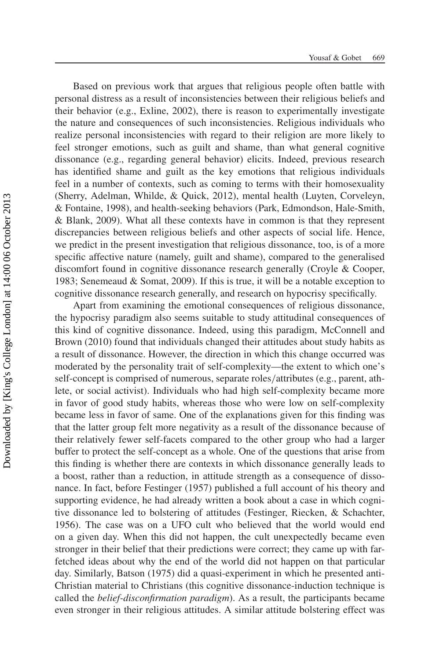Based on previous work that argues that religious people often battle with personal distress as a result of inconsistencies between their religious beliefs and their behavior (e.g., Exline, 2002), there is reason to experimentally investigate the nature and consequences of such inconsistencies. Religious individuals who realize personal inconsistencies with regard to their religion are more likely to feel stronger emotions, such as guilt and shame, than what general cognitive dissonance (e.g., regarding general behavior) elicits. Indeed, previous research has identified shame and guilt as the key emotions that religious individuals feel in a number of contexts, such as coming to terms with their homosexuality (Sherry, Adelman, Whilde, & Quick, 2012), mental health (Luyten, Corveleyn, & Fontaine, 1998), and health-seeking behaviors (Park, Edmondson, Hale-Smith, & Blank, 2009). What all these contexts have in common is that they represent discrepancies between religious beliefs and other aspects of social life. Hence, we predict in the present investigation that religious dissonance, too, is of a more specific affective nature (namely, guilt and shame), compared to the generalised discomfort found in cognitive dissonance research generally (Croyle & Cooper, 1983; Senemeaud & Somat, 2009). If this is true, it will be a notable exception to cognitive dissonance research generally, and research on hypocrisy specifically.

Apart from examining the emotional consequences of religious dissonance, the hypocrisy paradigm also seems suitable to study attitudinal consequences of this kind of cognitive dissonance. Indeed, using this paradigm, McConnell and Brown (2010) found that individuals changed their attitudes about study habits as a result of dissonance. However, the direction in which this change occurred was moderated by the personality trait of self-complexity—the extent to which one's self-concept is comprised of numerous, separate roles/attributes (e.g., parent, athlete, or social activist). Individuals who had high self-complexity became more in favor of good study habits, whereas those who were low on self-complexity became less in favor of same. One of the explanations given for this finding was that the latter group felt more negativity as a result of the dissonance because of their relatively fewer self-facets compared to the other group who had a larger buffer to protect the self-concept as a whole. One of the questions that arise from this finding is whether there are contexts in which dissonance generally leads to a boost, rather than a reduction, in attitude strength as a consequence of dissonance. In fact, before Festinger (1957) published a full account of his theory and supporting evidence, he had already written a book about a case in which cognitive dissonance led to bolstering of attitudes (Festinger, Riecken, & Schachter, 1956). The case was on a UFO cult who believed that the world would end on a given day. When this did not happen, the cult unexpectedly became even stronger in their belief that their predictions were correct; they came up with farfetched ideas about why the end of the world did not happen on that particular day. Similarly, Batson (1975) did a quasi-experiment in which he presented anti-Christian material to Christians (this cognitive dissonance-induction technique is called the *belief-disconfirmation paradigm*). As a result, the participants became even stronger in their religious attitudes. A similar attitude bolstering effect was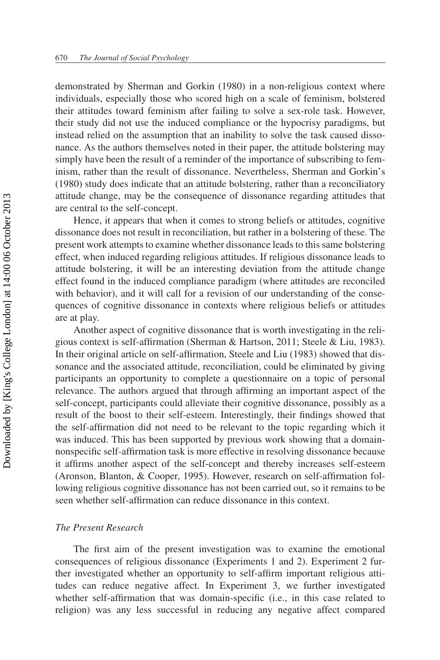demonstrated by Sherman and Gorkin (1980) in a non-religious context where individuals, especially those who scored high on a scale of feminism, bolstered their attitudes toward feminism after failing to solve a sex-role task. However, their study did not use the induced compliance or the hypocrisy paradigms, but instead relied on the assumption that an inability to solve the task caused dissonance. As the authors themselves noted in their paper, the attitude bolstering may simply have been the result of a reminder of the importance of subscribing to feminism, rather than the result of dissonance. Nevertheless, Sherman and Gorkin's (1980) study does indicate that an attitude bolstering, rather than a reconciliatory attitude change, may be the consequence of dissonance regarding attitudes that are central to the self-concept.

Hence, it appears that when it comes to strong beliefs or attitudes, cognitive dissonance does not result in reconciliation, but rather in a bolstering of these. The present work attempts to examine whether dissonance leads to this same bolstering effect, when induced regarding religious attitudes. If religious dissonance leads to attitude bolstering, it will be an interesting deviation from the attitude change effect found in the induced compliance paradigm (where attitudes are reconciled with behavior), and it will call for a revision of our understanding of the consequences of cognitive dissonance in contexts where religious beliefs or attitudes are at play.

Another aspect of cognitive dissonance that is worth investigating in the religious context is self-affirmation (Sherman & Hartson, 2011; Steele & Liu, 1983). In their original article on self-affirmation, Steele and Liu (1983) showed that dissonance and the associated attitude, reconciliation, could be eliminated by giving participants an opportunity to complete a questionnaire on a topic of personal relevance. The authors argued that through affirming an important aspect of the self-concept, participants could alleviate their cognitive dissonance, possibly as a result of the boost to their self-esteem. Interestingly, their findings showed that the self-affirmation did not need to be relevant to the topic regarding which it was induced. This has been supported by previous work showing that a domainnonspecific self-affirmation task is more effective in resolving dissonance because it affirms another aspect of the self-concept and thereby increases self-esteem (Aronson, Blanton, & Cooper, 1995). However, research on self-affirmation following religious cognitive dissonance has not been carried out, so it remains to be seen whether self-affirmation can reduce dissonance in this context.

## *The Present Research*

The first aim of the present investigation was to examine the emotional consequences of religious dissonance (Experiments 1 and 2). Experiment 2 further investigated whether an opportunity to self-affirm important religious attitudes can reduce negative affect. In Experiment 3, we further investigated whether self-affirmation that was domain-specific (i.e., in this case related to religion) was any less successful in reducing any negative affect compared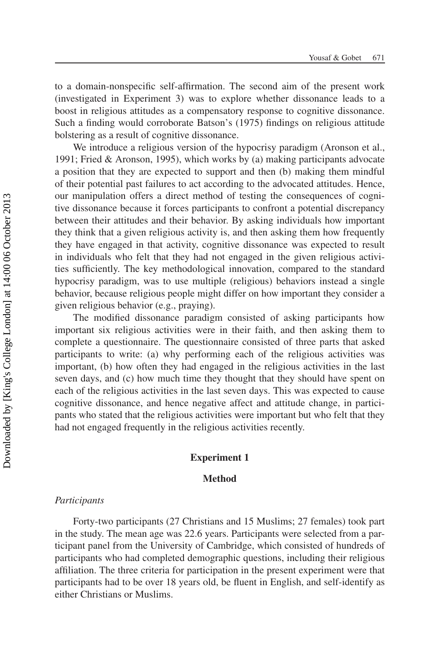to a domain-nonspecific self-affirmation. The second aim of the present work (investigated in Experiment 3) was to explore whether dissonance leads to a boost in religious attitudes as a compensatory response to cognitive dissonance. Such a finding would corroborate Batson's (1975) findings on religious attitude bolstering as a result of cognitive dissonance.

We introduce a religious version of the hypocrisy paradigm (Aronson et al., 1991; Fried & Aronson, 1995), which works by (a) making participants advocate a position that they are expected to support and then (b) making them mindful of their potential past failures to act according to the advocated attitudes. Hence, our manipulation offers a direct method of testing the consequences of cognitive dissonance because it forces participants to confront a potential discrepancy between their attitudes and their behavior. By asking individuals how important they think that a given religious activity is, and then asking them how frequently they have engaged in that activity, cognitive dissonance was expected to result in individuals who felt that they had not engaged in the given religious activities sufficiently. The key methodological innovation, compared to the standard hypocrisy paradigm, was to use multiple (religious) behaviors instead a single behavior, because religious people might differ on how important they consider a given religious behavior (e.g., praying).

The modified dissonance paradigm consisted of asking participants how important six religious activities were in their faith, and then asking them to complete a questionnaire. The questionnaire consisted of three parts that asked participants to write: (a) why performing each of the religious activities was important, (b) how often they had engaged in the religious activities in the last seven days, and (c) how much time they thought that they should have spent on each of the religious activities in the last seven days. This was expected to cause cognitive dissonance, and hence negative affect and attitude change, in participants who stated that the religious activities were important but who felt that they had not engaged frequently in the religious activities recently.

# **Experiment 1**

#### **Method**

#### *Participants*

Forty-two participants (27 Christians and 15 Muslims; 27 females) took part in the study. The mean age was 22.6 years. Participants were selected from a participant panel from the University of Cambridge, which consisted of hundreds of participants who had completed demographic questions, including their religious affiliation. The three criteria for participation in the present experiment were that participants had to be over 18 years old, be fluent in English, and self-identify as either Christians or Muslims.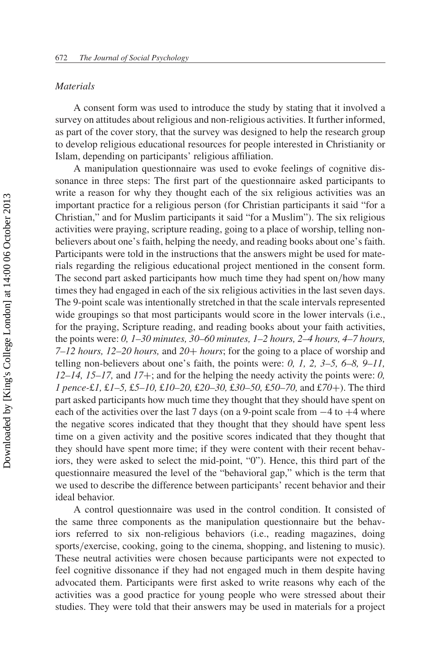#### *Materials*

A consent form was used to introduce the study by stating that it involved a survey on attitudes about religious and non-religious activities. It further informed, as part of the cover story, that the survey was designed to help the research group to develop religious educational resources for people interested in Christianity or Islam, depending on participants' religious affiliation.

A manipulation questionnaire was used to evoke feelings of cognitive dissonance in three steps: The first part of the questionnaire asked participants to write a reason for why they thought each of the six religious activities was an important practice for a religious person (for Christian participants it said "for a Christian," and for Muslim participants it said "for a Muslim"). The six religious activities were praying, scripture reading, going to a place of worship, telling nonbelievers about one's faith, helping the needy, and reading books about one's faith. Participants were told in the instructions that the answers might be used for materials regarding the religious educational project mentioned in the consent form. The second part asked participants how much time they had spent on/how many times they had engaged in each of the six religious activities in the last seven days. The 9-point scale was intentionally stretched in that the scale intervals represented wide groupings so that most participants would score in the lower intervals (i.e., for the praying, Scripture reading, and reading books about your faith activities, the points were: *0, 1–30 minutes, 30–60 minutes, 1–2 hours, 2–4 hours, 4–7 hours, 7–12 hours, 12–20 hours,* and *20*+ *hours*; for the going to a place of worship and telling non-believers about one's faith, the points were: *0, 1, 2, 3–5, 6–8, 9–11, 12–14, 15–17,* and *17*+; and for the helping the needy activity the points were: *0, 1 pence-*£*1,* £*1–5,* £*5–10,* £*10–20,* £*20–30,* £*30–50,* £*50–70,* and £*70*+). The third part asked participants how much time they thought that they should have spent on each of the activities over the last 7 days (on a 9-point scale from −4 to +4 where the negative scores indicated that they thought that they should have spent less time on a given activity and the positive scores indicated that they thought that they should have spent more time; if they were content with their recent behaviors, they were asked to select the mid-point, "0"). Hence, this third part of the questionnaire measured the level of the "behavioral gap," which is the term that we used to describe the difference between participants' recent behavior and their ideal behavior.

A control questionnaire was used in the control condition. It consisted of the same three components as the manipulation questionnaire but the behaviors referred to six non-religious behaviors (i.e., reading magazines, doing sports/exercise, cooking, going to the cinema, shopping, and listening to music). These neutral activities were chosen because participants were not expected to feel cognitive dissonance if they had not engaged much in them despite having advocated them. Participants were first asked to write reasons why each of the activities was a good practice for young people who were stressed about their studies. They were told that their answers may be used in materials for a project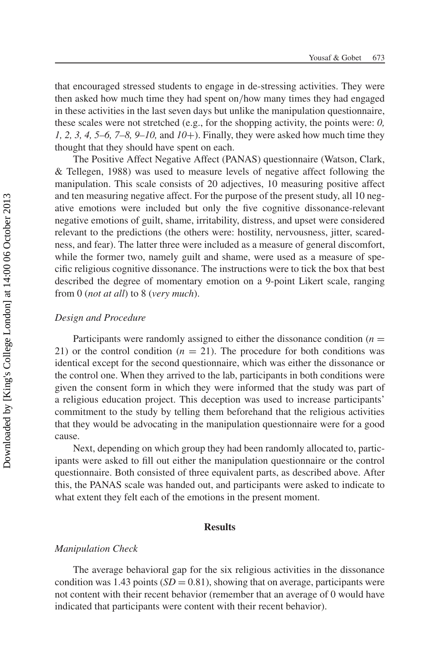that encouraged stressed students to engage in de-stressing activities. They were then asked how much time they had spent on/how many times they had engaged in these activities in the last seven days but unlike the manipulation questionnaire, these scales were not stretched (e.g., for the shopping activity, the points were: *0, 1, 2, 3, 4, 5–6, 7–8, 9–10,* and *10*+). Finally, they were asked how much time they thought that they should have spent on each.

The Positive Affect Negative Affect (PANAS) questionnaire (Watson, Clark, & Tellegen, 1988) was used to measure levels of negative affect following the manipulation. This scale consists of 20 adjectives, 10 measuring positive affect and ten measuring negative affect. For the purpose of the present study, all 10 negative emotions were included but only the five cognitive dissonance-relevant negative emotions of guilt, shame, irritability, distress, and upset were considered relevant to the predictions (the others were: hostility, nervousness, jitter, scaredness, and fear). The latter three were included as a measure of general discomfort, while the former two, namely guilt and shame, were used as a measure of specific religious cognitive dissonance. The instructions were to tick the box that best described the degree of momentary emotion on a 9-point Likert scale, ranging from 0 (*not at all*) to 8 (*very much*).

## *Design and Procedure*

Participants were randomly assigned to either the dissonance condition  $(n =$ 21) or the control condition  $(n = 21)$ . The procedure for both conditions was identical except for the second questionnaire, which was either the dissonance or the control one. When they arrived to the lab, participants in both conditions were given the consent form in which they were informed that the study was part of a religious education project. This deception was used to increase participants' commitment to the study by telling them beforehand that the religious activities that they would be advocating in the manipulation questionnaire were for a good cause.

Next, depending on which group they had been randomly allocated to, participants were asked to fill out either the manipulation questionnaire or the control questionnaire. Both consisted of three equivalent parts, as described above. After this, the PANAS scale was handed out, and participants were asked to indicate to what extent they felt each of the emotions in the present moment.

#### **Results**

#### *Manipulation Check*

The average behavioral gap for the six religious activities in the dissonance condition was 1.43 points  $(SD = 0.81)$ , showing that on average, participants were not content with their recent behavior (remember that an average of 0 would have indicated that participants were content with their recent behavior).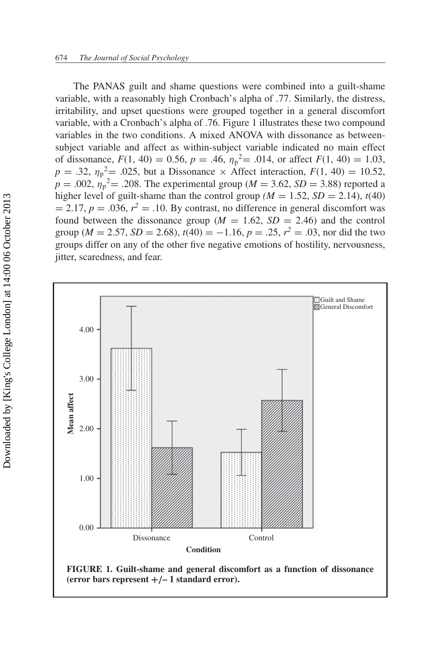The PANAS guilt and shame questions were combined into a guilt-shame variable, with a reasonably high Cronbach's alpha of .77. Similarly, the distress, irritability, and upset questions were grouped together in a general discomfort variable, with a Cronbach's alpha of .76. Figure 1 illustrates these two compound variables in the two conditions. A mixed ANOVA with dissonance as betweensubject variable and affect as within-subject variable indicated no main effect of dissonance,  $F(1, 40) = 0.56$ ,  $p = .46$ ,  $\eta_p^2 = .014$ , or affect  $F(1, 40) = 1.03$ ,  $p = .32$ ,  $\eta_p^2 = .025$ , but a Dissonance  $\times$  Affect interaction,  $F(1, 40) = 10.52$ ,  $p = .002$ ,  $\eta_p^2 = .208$ . The experimental group ( $M = 3.62$ ,  $SD = 3.88$ ) reported a higher level of guilt-shame than the control group  $(M = 1.52, SD = 2.14)$ ,  $t(40)$  $= 2.17, p = .036, r<sup>2</sup> = .10$ . By contrast, no difference in general discomfort was found between the dissonance group ( $M = 1.62$ ,  $SD = 2.46$ ) and the control group ( $M = 2.57$ ,  $SD = 2.68$ ),  $t(40) = -1.16$ ,  $p = .25$ ,  $r^2 = .03$ , nor did the two groups differ on any of the other five negative emotions of hostility, nervousness, jitter, scaredness, and fear.



**FIGURE 1. Guilt-shame and general discomfort as a function of dissonance (error bars represent +***/***– 1 standard error).**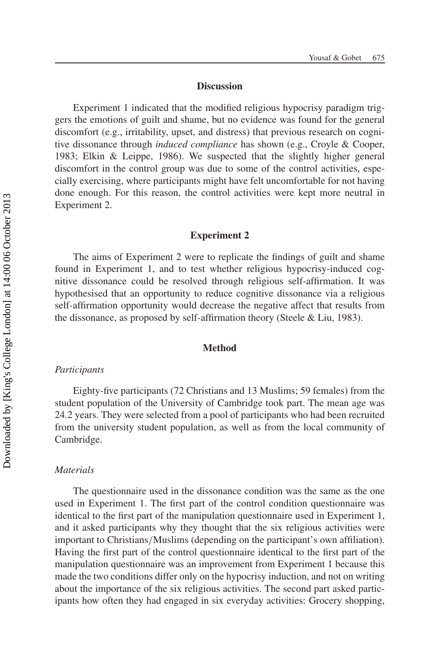# **Discussion**

Experiment 1 indicated that the modified religious hypocrisy paradigm triggers the emotions of guilt and shame, but no evidence was found for the general discomfort (e.g., irritability, upset, and distress) that previous research on cognitive dissonance through *induced compliance* has shown (e.g., Croyle & Cooper, 1983; Elkin & Leippe, 1986). We suspected that the slightly higher general discomfort in the control group was due to some of the control activities, especially exercising, where participants might have felt uncomfortable for not having done enough. For this reason, the control activities were kept more neutral in Experiment 2.

#### **Experiment 2**

The aims of Experiment 2 were to replicate the findings of guilt and shame found in Experiment 1, and to test whether religious hypocrisy-induced cognitive dissonance could be resolved through religious self-affirmation. It was hypothesised that an opportunity to reduce cognitive dissonance via a religious self-affirmation opportunity would decrease the negative affect that results from the dissonance, as proposed by self-affirmation theory (Steele & Liu, 1983).

#### **Method**

#### *Participants*

Eighty-five participants (72 Christians and 13 Muslims; 59 females) from the student population of the University of Cambridge took part. The mean age was 24.2 years. They were selected from a pool of participants who had been recruited from the university student population, as well as from the local community of Cambridge.

# *Materials*

The questionnaire used in the dissonance condition was the same as the one used in Experiment 1. The first part of the control condition questionnaire was identical to the first part of the manipulation questionnaire used in Experiment 1, and it asked participants why they thought that the six religious activities were important to Christians/Muslims (depending on the participant's own affiliation). Having the first part of the control questionnaire identical to the first part of the manipulation questionnaire was an improvement from Experiment 1 because this made the two conditions differ only on the hypocrisy induction, and not on writing about the importance of the six religious activities. The second part asked participants how often they had engaged in six everyday activities: Grocery shopping,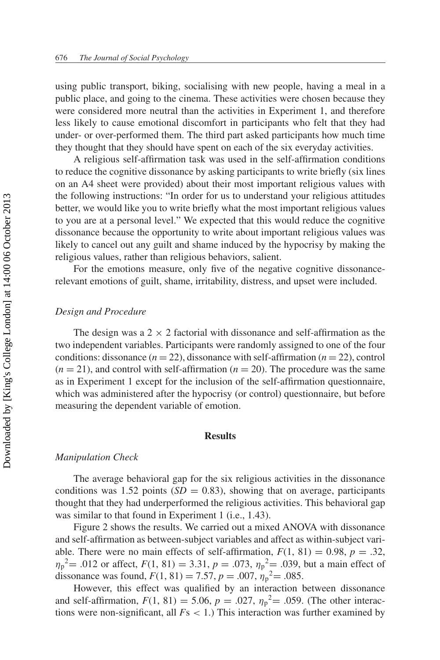using public transport, biking, socialising with new people, having a meal in a public place, and going to the cinema. These activities were chosen because they were considered more neutral than the activities in Experiment 1, and therefore less likely to cause emotional discomfort in participants who felt that they had under- or over-performed them. The third part asked participants how much time they thought that they should have spent on each of the six everyday activities.

A religious self-affirmation task was used in the self-affirmation conditions to reduce the cognitive dissonance by asking participants to write briefly (six lines on an A4 sheet were provided) about their most important religious values with the following instructions: "In order for us to understand your religious attitudes better, we would like you to write briefly what the most important religious values to you are at a personal level." We expected that this would reduce the cognitive dissonance because the opportunity to write about important religious values was likely to cancel out any guilt and shame induced by the hypocrisy by making the religious values, rather than religious behaviors, salient.

For the emotions measure, only five of the negative cognitive dissonancerelevant emotions of guilt, shame, irritability, distress, and upset were included.

#### *Design and Procedure*

The design was a  $2 \times 2$  factorial with dissonance and self-affirmation as the two independent variables. Participants were randomly assigned to one of the four conditions: dissonance  $(n = 22)$ , dissonance with self-affirmation  $(n = 22)$ , control  $(n = 21)$ , and control with self-affirmation  $(n = 20)$ . The procedure was the same as in Experiment 1 except for the inclusion of the self-affirmation questionnaire, which was administered after the hypocrisy (or control) questionnaire, but before measuring the dependent variable of emotion.

# **Results**

#### *Manipulation Check*

The average behavioral gap for the six religious activities in the dissonance conditions was 1.52 points  $(SD = 0.83)$ , showing that on average, participants thought that they had underperformed the religious activities. This behavioral gap was similar to that found in Experiment 1 (i.e., 1.43).

Figure 2 shows the results. We carried out a mixed ANOVA with dissonance and self-affirmation as between-subject variables and affect as within-subject variable. There were no main effects of self-affirmation,  $F(1, 81) = 0.98$ ,  $p = .32$ ,  $\eta_p^2$  = .012 or affect,  $F(1, 81) = 3.31$ ,  $p = .073$ ,  $\eta_p^2 = .039$ , but a main effect of dissonance was found,  $F(1, 81) = 7.57$ ,  $p = .007$ ,  $\eta_p^2 = .085$ .

However, this effect was qualified by an interaction between dissonance and self-affirmation,  $F(1, 81) = 5.06$ ,  $p = .027$ ,  $\eta_p^2 = .059$ . (The other interactions were non-significant, all  $Fs < 1$ .) This interaction was further examined by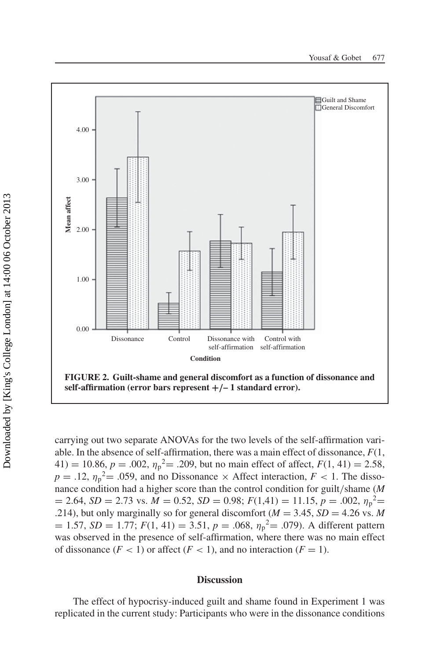

carrying out two separate ANOVAs for the two levels of the self-affirmation variable. In the absence of self-affirmation, there was a main effect of dissonance, *F*(1,  $(41) = 10.86, p = .002, \eta_p^2 = .209$ , but no main effect of affect,  $F(1, 41) = 2.58$ ,  $p = .12$ ,  $\eta_p^2 = .059$ , and no Dissonance  $\times$  Affect interaction,  $F < 1$ . The dissonance condition had a higher score than the control condition for guilt/shame (*M*  $= 2.64$ ,  $SD = 2.73$  vs.  $M = 0.52$ ,  $SD = 0.98$ ;  $F(1,41) = 11.15$ ,  $p = .002$ ,  $\eta_p^2 =$ .214), but only marginally so for general discomfort ( $M = 3.45$ ,  $SD = 4.26$  vs. *M*  $= 1.57$ ,  $SD = 1.77$ ;  $F(1, 41) = 3.51$ ,  $p = .068$ ,  $\eta_p^2 = .079$ ). A different pattern was observed in the presence of self-affirmation, where there was no main effect of dissonance  $(F < 1)$  or affect  $(F < 1)$ , and no interaction  $(F = 1)$ .

#### **Discussion**

The effect of hypocrisy-induced guilt and shame found in Experiment 1 was replicated in the current study: Participants who were in the dissonance conditions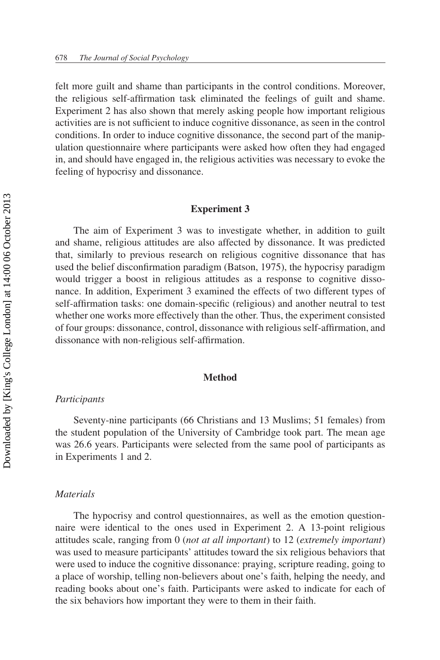felt more guilt and shame than participants in the control conditions. Moreover, the religious self-affirmation task eliminated the feelings of guilt and shame. Experiment 2 has also shown that merely asking people how important religious activities are is not sufficient to induce cognitive dissonance, as seen in the control conditions. In order to induce cognitive dissonance, the second part of the manipulation questionnaire where participants were asked how often they had engaged in, and should have engaged in, the religious activities was necessary to evoke the feeling of hypocrisy and dissonance.

#### **Experiment 3**

The aim of Experiment 3 was to investigate whether, in addition to guilt and shame, religious attitudes are also affected by dissonance. It was predicted that, similarly to previous research on religious cognitive dissonance that has used the belief disconfirmation paradigm (Batson, 1975), the hypocrisy paradigm would trigger a boost in religious attitudes as a response to cognitive dissonance. In addition, Experiment 3 examined the effects of two different types of self-affirmation tasks: one domain-specific (religious) and another neutral to test whether one works more effectively than the other. Thus, the experiment consisted of four groups: dissonance, control, dissonance with religious self-affirmation, and dissonance with non-religious self-affirmation.

#### **Method**

#### *Participants*

Seventy-nine participants (66 Christians and 13 Muslims; 51 females) from the student population of the University of Cambridge took part. The mean age was 26.6 years. Participants were selected from the same pool of participants as in Experiments 1 and 2.

#### *Materials*

The hypocrisy and control questionnaires, as well as the emotion questionnaire were identical to the ones used in Experiment 2. A 13-point religious attitudes scale, ranging from 0 (*not at all important*) to 12 (*extremely important*) was used to measure participants' attitudes toward the six religious behaviors that were used to induce the cognitive dissonance: praying, scripture reading, going to a place of worship, telling non-believers about one's faith, helping the needy, and reading books about one's faith. Participants were asked to indicate for each of the six behaviors how important they were to them in their faith.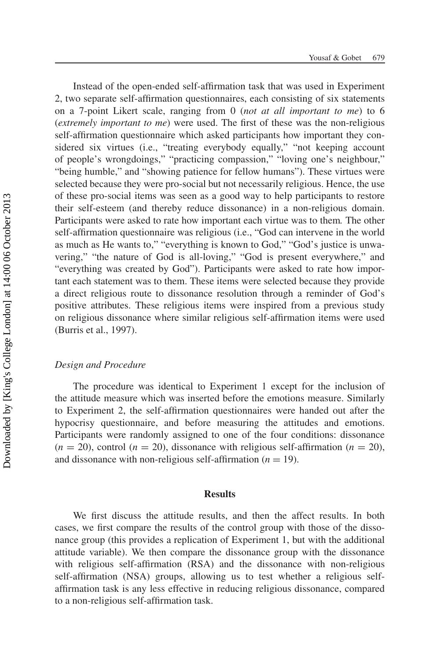Instead of the open-ended self-affirmation task that was used in Experiment 2, two separate self-affirmation questionnaires, each consisting of six statements on a 7-point Likert scale, ranging from 0 (*not at all important to me*) to 6 (*extremely important to me*) were used. The first of these was the non-religious self-affirmation questionnaire which asked participants how important they considered six virtues (i.e., "treating everybody equally," "not keeping account of people's wrongdoings," "practicing compassion," "loving one's neighbour," "being humble," and "showing patience for fellow humans"). These virtues were selected because they were pro-social but not necessarily religious. Hence, the use of these pro-social items was seen as a good way to help participants to restore their self-esteem (and thereby reduce dissonance) in a non-religious domain. Participants were asked to rate how important each virtue was to them*.* The other self-affirmation questionnaire was religious (i.e., "God can intervene in the world as much as He wants to," "everything is known to God," "God's justice is unwavering," "the nature of God is all-loving," "God is present everywhere," and "everything was created by God"). Participants were asked to rate how important each statement was to them. These items were selected because they provide a direct religious route to dissonance resolution through a reminder of God's positive attributes. These religious items were inspired from a previous study on religious dissonance where similar religious self-affirmation items were used (Burris et al., 1997).

## *Design and Procedure*

The procedure was identical to Experiment 1 except for the inclusion of the attitude measure which was inserted before the emotions measure. Similarly to Experiment 2, the self-affirmation questionnaires were handed out after the hypocrisy questionnaire, and before measuring the attitudes and emotions. Participants were randomly assigned to one of the four conditions: dissonance  $(n = 20)$ , control  $(n = 20)$ , dissonance with religious self-affirmation  $(n = 20)$ , and dissonance with non-religious self-affirmation  $(n = 19)$ .

#### **Results**

We first discuss the attitude results, and then the affect results. In both cases, we first compare the results of the control group with those of the dissonance group (this provides a replication of Experiment 1, but with the additional attitude variable). We then compare the dissonance group with the dissonance with religious self-affirmation (RSA) and the dissonance with non-religious self-affirmation (NSA) groups, allowing us to test whether a religious selfaffirmation task is any less effective in reducing religious dissonance, compared to a non-religious self-affirmation task.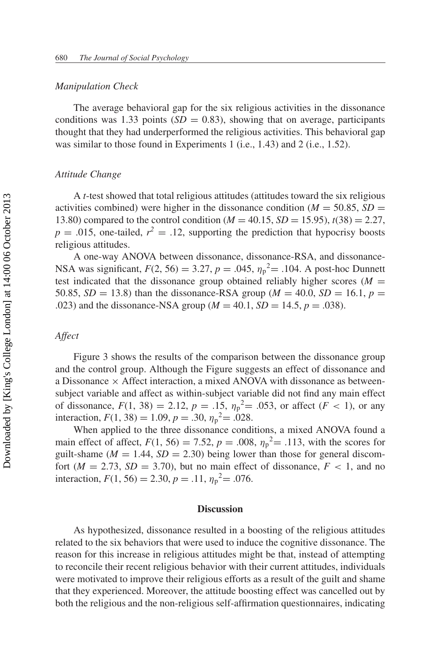# *Manipulation Check*

The average behavioral gap for the six religious activities in the dissonance conditions was 1.33 points  $(SD = 0.83)$ , showing that on average, participants thought that they had underperformed the religious activities. This behavioral gap was similar to those found in Experiments 1 (i.e., 1.43) and 2 (i.e., 1.52).

# *Attitude Change*

A *t*-test showed that total religious attitudes (attitudes toward the six religious activities combined) were higher in the dissonance condition ( $M = 50.85$ ,  $SD =$ 13.80) compared to the control condition ( $M = 40.15$ ,  $SD = 15.95$ ),  $t(38) = 2.27$ ,  $p = .015$ , one-tailed,  $r^2 = .12$ , supporting the prediction that hypocrisy boosts religious attitudes.

A one-way ANOVA between dissonance, dissonance-RSA, and dissonance-NSA was significant,  $F(2, 56) = 3.27$ ,  $p = .045$ ,  $\eta_p^2 = .104$ . A post-hoc Dunnett test indicated that the dissonance group obtained reliably higher scores ( $M =$ 50.85, *SD* = 13.8) than the dissonance-RSA group ( $M = 40.0$ , *SD* = 16.1,  $p =$ .023) and the dissonance-NSA group ( $M = 40.1$ ,  $SD = 14.5$ ,  $p = .038$ ).

#### *Affect*

Figure 3 shows the results of the comparison between the dissonance group and the control group. Although the Figure suggests an effect of dissonance and a Dissonance  $\times$  Affect interaction, a mixed ANOVA with dissonance as betweensubject variable and affect as within-subject variable did not find any main effect of dissonance,  $F(1, 38) = 2.12$ ,  $p = .15$ ,  $\eta_p^2 = .053$ , or affect ( $F < 1$ ), or any interaction,  $F(1, 38) = 1.09$ ,  $p = .30$ ,  $\eta_p^2 = .028$ .

When applied to the three dissonance conditions, a mixed ANOVA found a main effect of affect,  $F(1, 56) = 7.52$ ,  $p = .008$ ,  $\eta_p^2 = .113$ , with the scores for guilt-shame ( $M = 1.44$ ,  $SD = 2.30$ ) being lower than those for general discomfort ( $M = 2.73$ ,  $SD = 3.70$ ), but no main effect of dissonance,  $F < 1$ , and no interaction,  $F(1, 56) = 2.30, p = .11, \eta_p^2 = .076$ .

# **Discussion**

As hypothesized, dissonance resulted in a boosting of the religious attitudes related to the six behaviors that were used to induce the cognitive dissonance. The reason for this increase in religious attitudes might be that, instead of attempting to reconcile their recent religious behavior with their current attitudes, individuals were motivated to improve their religious efforts as a result of the guilt and shame that they experienced. Moreover, the attitude boosting effect was cancelled out by both the religious and the non-religious self-affirmation questionnaires, indicating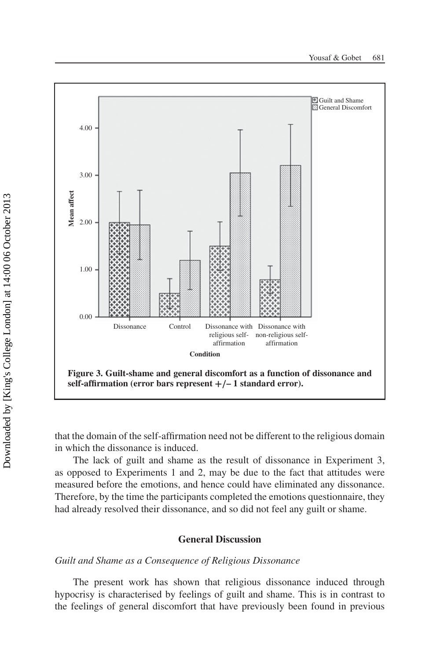

that the domain of the self-affirmation need not be different to the religious domain in which the dissonance is induced.

The lack of guilt and shame as the result of dissonance in Experiment 3, as opposed to Experiments 1 and 2, may be due to the fact that attitudes were measured before the emotions, and hence could have eliminated any dissonance. Therefore, by the time the participants completed the emotions questionnaire, they had already resolved their dissonance, and so did not feel any guilt or shame.

# **General Discussion**

# *Guilt and Shame as a Consequence of Religious Dissonance*

The present work has shown that religious dissonance induced through hypocrisy is characterised by feelings of guilt and shame. This is in contrast to the feelings of general discomfort that have previously been found in previous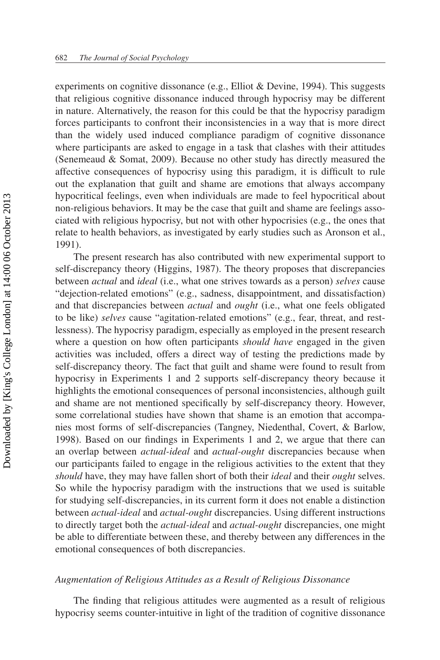experiments on cognitive dissonance (e.g., Elliot & Devine, 1994). This suggests that religious cognitive dissonance induced through hypocrisy may be different in nature. Alternatively, the reason for this could be that the hypocrisy paradigm forces participants to confront their inconsistencies in a way that is more direct than the widely used induced compliance paradigm of cognitive dissonance where participants are asked to engage in a task that clashes with their attitudes (Senemeaud & Somat, 2009). Because no other study has directly measured the affective consequences of hypocrisy using this paradigm, it is difficult to rule out the explanation that guilt and shame are emotions that always accompany hypocritical feelings, even when individuals are made to feel hypocritical about non-religious behaviors. It may be the case that guilt and shame are feelings associated with religious hypocrisy, but not with other hypocrisies (e.g., the ones that relate to health behaviors, as investigated by early studies such as Aronson et al., 1991).

The present research has also contributed with new experimental support to self-discrepancy theory (Higgins, 1987). The theory proposes that discrepancies between *actual* and *ideal* (i.e., what one strives towards as a person) *selves* cause "dejection-related emotions" (e.g., sadness, disappointment, and dissatisfaction) and that discrepancies between *actual* and *ought* (i.e., what one feels obligated to be like) *selves* cause "agitation-related emotions" (e.g., fear, threat, and restlessness). The hypocrisy paradigm, especially as employed in the present research where a question on how often participants *should have* engaged in the given activities was included, offers a direct way of testing the predictions made by self-discrepancy theory. The fact that guilt and shame were found to result from hypocrisy in Experiments 1 and 2 supports self-discrepancy theory because it highlights the emotional consequences of personal inconsistencies, although guilt and shame are not mentioned specifically by self-discrepancy theory. However, some correlational studies have shown that shame is an emotion that accompanies most forms of self-discrepancies (Tangney, Niedenthal, Covert, & Barlow, 1998). Based on our findings in Experiments 1 and 2, we argue that there can an overlap between *actual-ideal* and *actual-ought* discrepancies because when our participants failed to engage in the religious activities to the extent that they *should* have, they may have fallen short of both their *ideal* and their *ought* selves. So while the hypocrisy paradigm with the instructions that we used is suitable for studying self-discrepancies, in its current form it does not enable a distinction between *actual-ideal* and *actual-ought* discrepancies. Using different instructions to directly target both the *actual-ideal* and *actual-ought* discrepancies, one might be able to differentiate between these, and thereby between any differences in the emotional consequences of both discrepancies.

# *Augmentation of Religious Attitudes as a Result of Religious Dissonance*

The finding that religious attitudes were augmented as a result of religious hypocrisy seems counter-intuitive in light of the tradition of cognitive dissonance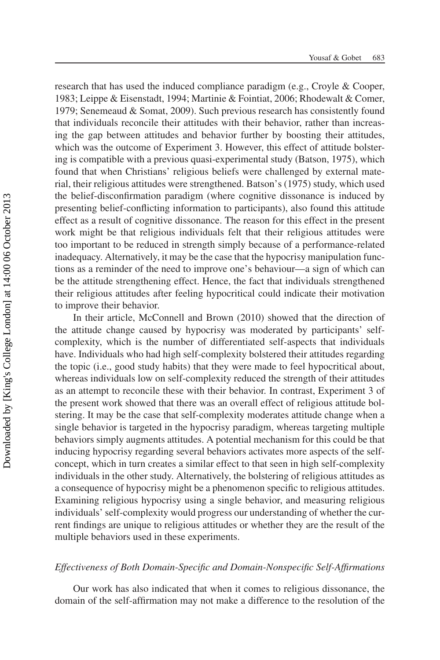research that has used the induced compliance paradigm (e.g., Croyle & Cooper, 1983; Leippe & Eisenstadt, 1994; Martinie & Fointiat, 2006; Rhodewalt & Comer, 1979; Senemeaud & Somat, 2009). Such previous research has consistently found that individuals reconcile their attitudes with their behavior, rather than increasing the gap between attitudes and behavior further by boosting their attitudes, which was the outcome of Experiment 3. However, this effect of attitude bolstering is compatible with a previous quasi-experimental study (Batson, 1975), which found that when Christians' religious beliefs were challenged by external material, their religious attitudes were strengthened. Batson's (1975) study, which used the belief-disconfirmation paradigm (where cognitive dissonance is induced by presenting belief-conflicting information to participants), also found this attitude effect as a result of cognitive dissonance. The reason for this effect in the present work might be that religious individuals felt that their religious attitudes were too important to be reduced in strength simply because of a performance-related inadequacy. Alternatively, it may be the case that the hypocrisy manipulation functions as a reminder of the need to improve one's behaviour—a sign of which can be the attitude strengthening effect. Hence, the fact that individuals strengthened their religious attitudes after feeling hypocritical could indicate their motivation to improve their behavior.

In their article, McConnell and Brown (2010) showed that the direction of the attitude change caused by hypocrisy was moderated by participants' selfcomplexity, which is the number of differentiated self-aspects that individuals have. Individuals who had high self-complexity bolstered their attitudes regarding the topic (i.e., good study habits) that they were made to feel hypocritical about, whereas individuals low on self-complexity reduced the strength of their attitudes as an attempt to reconcile these with their behavior. In contrast, Experiment 3 of the present work showed that there was an overall effect of religious attitude bolstering. It may be the case that self-complexity moderates attitude change when a single behavior is targeted in the hypocrisy paradigm, whereas targeting multiple behaviors simply augments attitudes. A potential mechanism for this could be that inducing hypocrisy regarding several behaviors activates more aspects of the selfconcept, which in turn creates a similar effect to that seen in high self-complexity individuals in the other study. Alternatively, the bolstering of religious attitudes as a consequence of hypocrisy might be a phenomenon specific to religious attitudes. Examining religious hypocrisy using a single behavior, and measuring religious individuals' self-complexity would progress our understanding of whether the current findings are unique to religious attitudes or whether they are the result of the multiple behaviors used in these experiments.

### *Effectiveness of Both Domain-Specific and Domain-Nonspecific Self-Affirmations*

Our work has also indicated that when it comes to religious dissonance, the domain of the self-affirmation may not make a difference to the resolution of the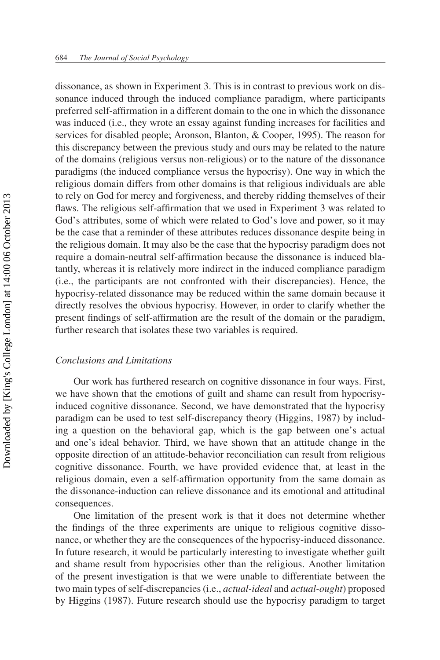dissonance, as shown in Experiment 3. This is in contrast to previous work on dissonance induced through the induced compliance paradigm, where participants preferred self-affirmation in a different domain to the one in which the dissonance was induced (i.e., they wrote an essay against funding increases for facilities and services for disabled people; Aronson, Blanton, & Cooper, 1995). The reason for this discrepancy between the previous study and ours may be related to the nature of the domains (religious versus non-religious) or to the nature of the dissonance paradigms (the induced compliance versus the hypocrisy). One way in which the religious domain differs from other domains is that religious individuals are able to rely on God for mercy and forgiveness, and thereby ridding themselves of their flaws. The religious self-affirmation that we used in Experiment 3 was related to God's attributes, some of which were related to God's love and power, so it may be the case that a reminder of these attributes reduces dissonance despite being in the religious domain. It may also be the case that the hypocrisy paradigm does not require a domain-neutral self-affirmation because the dissonance is induced blatantly, whereas it is relatively more indirect in the induced compliance paradigm (i.e., the participants are not confronted with their discrepancies). Hence, the hypocrisy-related dissonance may be reduced within the same domain because it directly resolves the obvious hypocrisy. However, in order to clarify whether the present findings of self-affirmation are the result of the domain or the paradigm, further research that isolates these two variables is required.

# *Conclusions and Limitations*

Our work has furthered research on cognitive dissonance in four ways. First, we have shown that the emotions of guilt and shame can result from hypocrisyinduced cognitive dissonance. Second, we have demonstrated that the hypocrisy paradigm can be used to test self-discrepancy theory (Higgins, 1987) by including a question on the behavioral gap, which is the gap between one's actual and one's ideal behavior. Third, we have shown that an attitude change in the opposite direction of an attitude-behavior reconciliation can result from religious cognitive dissonance. Fourth, we have provided evidence that, at least in the religious domain, even a self-affirmation opportunity from the same domain as the dissonance-induction can relieve dissonance and its emotional and attitudinal consequences.

One limitation of the present work is that it does not determine whether the findings of the three experiments are unique to religious cognitive dissonance, or whether they are the consequences of the hypocrisy-induced dissonance. In future research, it would be particularly interesting to investigate whether guilt and shame result from hypocrisies other than the religious. Another limitation of the present investigation is that we were unable to differentiate between the two main types of self-discrepancies (i.e., *actual-ideal* and *actual-ought*) proposed by Higgins (1987). Future research should use the hypocrisy paradigm to target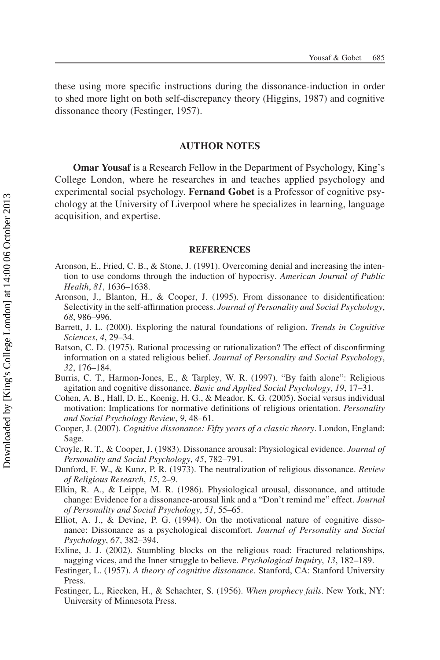these using more specific instructions during the dissonance-induction in order to shed more light on both self-discrepancy theory (Higgins, 1987) and cognitive dissonance theory (Festinger, 1957).

# **AUTHOR NOTES**

**Omar Yousaf** is a Research Fellow in the Department of Psychology, King's College London, where he researches in and teaches applied psychology and experimental social psychology. **Fernand Gobet** is a Professor of cognitive psychology at the University of Liverpool where he specializes in learning, language acquisition, and expertise.

## **REFERENCES**

- Aronson, E., Fried, C. B., & Stone, J. (1991). Overcoming denial and increasing the intention to use condoms through the induction of hypocrisy. *American Journal of Public Health*, *81*, 1636–1638.
- Aronson, J., Blanton, H., & Cooper, J. (1995). From dissonance to disidentification: Selectivity in the self-affirmation process. *Journal of Personality and Social Psychology*, *68*, 986–996.
- Barrett, J. L. (2000). Exploring the natural foundations of religion. *Trends in Cognitive Sciences*, *4*, 29–34.
- Batson, C. D. (1975). Rational processing or rationalization? The effect of disconfirming information on a stated religious belief. *Journal of Personality and Social Psychology*, *32*, 176–184.
- Burris, C. T., Harmon-Jones, E., & Tarpley, W. R. (1997). "By faith alone": Religious agitation and cognitive dissonance. *Basic and Applied Social Psychology*, *19*, 17–31.
- Cohen, A. B., Hall, D. E., Koenig, H. G., & Meador, K. G. (2005). Social versus individual motivation: Implications for normative definitions of religious orientation. *Personality and Social Psychology Review*, *9*, 48–61.
- Cooper, J. (2007). *Cognitive dissonance: Fifty years of a classic theory*. London, England: Sage.
- Croyle, R. T., & Cooper, J. (1983). Dissonance arousal: Physiological evidence. *Journal of Personality and Social Psychology*, *45*, 782–791.
- Dunford, F. W., & Kunz, P. R. (1973). The neutralization of religious dissonance. *Review of Religious Research*, *15*, 2–9.
- Elkin, R. A., & Leippe, M. R. (1986). Physiological arousal, dissonance, and attitude change: Evidence for a dissonance-arousal link and a "Don't remind me" effect. *Journal of Personality and Social Psychology*, *51*, 55–65.
- Elliot, A. J., & Devine, P. G. (1994). On the motivational nature of cognitive dissonance: Dissonance as a psychological discomfort. *Journal of Personality and Social Psychology*, *67*, 382–394.
- Exline, J. J. (2002). Stumbling blocks on the religious road: Fractured relationships, nagging vices, and the Inner struggle to believe. *Psychological Inquiry*, *13*, 182–189.
- Festinger, L. (1957). *A theory of cognitive dissonance*. Stanford, CA: Stanford University Press.
- Festinger, L., Riecken, H., & Schachter, S. (1956). *When prophecy fails*. New York, NY: University of Minnesota Press.